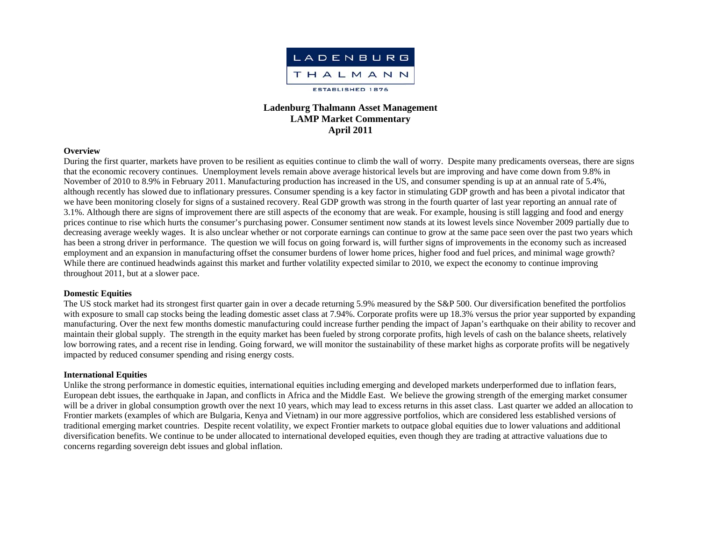

# **Ladenburg Thalmann Asset Management LAMP Market Commentary April 2011**

### **Overview**

During the first quarter, markets have proven to be resilient as equities continue to climb the wall of worry. Despite many predicaments overseas, there are signs that the economic recovery continues. Unemployment levels remain above average historical levels but are improving and have come down from 9.8% in November of 2010 to 8.9% in February 2011. Manufacturing production has increased in the US, and consumer spending is up at an annual rate of 5.4%, although recently has slowed due to inflationary pressures. Consumer spending is a key factor in stimulating GDP growth and has been a pivotal indicator that we have been monitoring closely for signs of a sustained recovery. Real GDP growth was strong in the fourth quarter of last year reporting an annual rate of 3.1%. Although there are signs of improvement there are still aspects of the economy that are weak. For example, housing is still lagging and food and energy prices continue to rise which hurts the consumer's purchasing power. Consumer sentiment now stands at its lowest levels since November 2009 partially due to decreasing average weekly wages. It is also unclear whether or not corporate earnings can continue to grow at the same pace seen over the past two years which has been a strong driver in performance. The question we will focus on going forward is, will further signs of improvements in the economy such as increased employment and an expansion in manufacturing offset the consumer burdens of lower home prices, higher food and fuel prices, and minimal wage growth? While there are continued headwinds against this market and further volatility expected similar to 2010, we expect the economy to continue improving throughout 2011, but at a slower pace.

## **Domestic Equities**

The US stock market had its strongest first quarter gain in over a decade returning 5.9% measured by the S&P 500. Our diversification benefited the portfolios with exposure to small cap stocks being the leading domestic asset class at 7.94%. Corporate profits were up 18.3% versus the prior year supported by expanding manufacturing. Over the next few months domestic manufacturing could increase further pending the impact of Japan's earthquake on their ability to recover and maintain their global supply. The strength in the equity market has been fueled by strong corporate profits, high levels of cash on the balance sheets, relatively low borrowing rates, and a recent rise in lending. Going forward, we will monitor the sustainability of these market highs as corporate profits will be negatively impacted by reduced consumer spending and rising energy costs.

### **International Equities**

Unlike the strong performance in domestic equities, international equities including emerging and developed markets underperformed due to inflation fears, European debt issues, the earthquake in Japan, and conflicts in Africa and the Middle East. We believe the growing strength of the emerging market consumer will be a driver in global consumption growth over the next 10 years, which may lead to excess returns in this asset class. Last quarter we added an allocation to Frontier markets (examples of which are Bulgaria, Kenya and Vietnam) in our more aggressive portfolios, which are considered less established versions of traditional emerging market countries. Despite recent volatility, we expect Frontier markets to outpace global equities due to lower valuations and additional diversification benefits. We continue to be under allocated to international developed equities, even though they are trading at attractive valuations due to concerns regarding sovereign debt issues and global inflation.